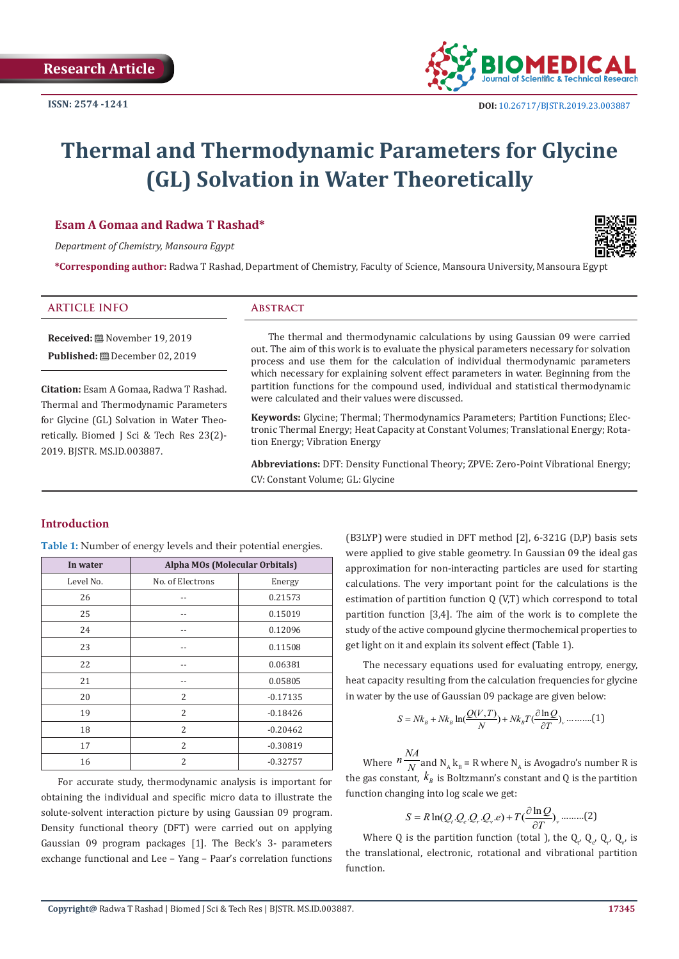

# **Thermal and Thermodynamic Parameters for Glycine (GL) Solvation in Water Theoretically**

#### **Esam A Gomaa and Radwa T Rashad\***

*Department of Chemistry, Mansoura Egypt*

**\*Corresponding author:** Radwa T Rashad, Department of Chemistry, Faculty of Science, Mansoura University, Mansoura Egypt

# **ARTICLE INFO ABSTRACT**

**Received:** November 19, 2019 **Published:** December 02, 2019

**Citation:** Esam A Gomaa, Radwa T Rashad. Thermal and Thermodynamic Parameters for Glycine (GL) Solvation in Water Theoretically. Biomed J Sci & Tech Res 23(2)- 2019. BJSTR. MS.ID.003887.

The thermal and thermodynamic calculations by using Gaussian 09 were carried out. The aim of this work is to evaluate the physical parameters necessary for solvation process and use them for the calculation of individual thermodynamic parameters which necessary for explaining solvent effect parameters in water. Beginning from the partition functions for the compound used, individual and statistical thermodynamic were calculated and their values were discussed.

**Keywords:** Glycine; Thermal; Thermodynamics Parameters; Partition Functions; Electronic Thermal Energy; Heat Capacity at Constant Volumes; Translational Energy; Rotation Energy; Vibration Energy

**Abbreviations:** DFT: Density Functional Theory; ZPVE: Zero-Point Vibrational Energy; CV: Constant Volume; GL: Glycine

### **Introduction**

**Table 1:** Number of energy levels and their potential energies.

| In water  | <b>Alpha MOs (Molecular Orbitals)</b> |            |  |  |
|-----------|---------------------------------------|------------|--|--|
| Level No. | No. of Electrons<br>Energy            |            |  |  |
| 26        |                                       | 0.21573    |  |  |
| 25        |                                       | 0.15019    |  |  |
| 24        |                                       | 0.12096    |  |  |
| 23        | --                                    | 0.11508    |  |  |
| 22        | --                                    | 0.06381    |  |  |
| 21        | --                                    | 0.05805    |  |  |
| 20        | 2                                     | $-0.17135$ |  |  |
| 19        | $\overline{2}$                        | $-0.18426$ |  |  |
| 18        | $\overline{2}$                        | $-0.20462$ |  |  |
| 17        | 2                                     | $-0.30819$ |  |  |
| 16        | 2                                     | $-0.32757$ |  |  |

For accurate study, thermodynamic analysis is important for obtaining the individual and specific micro data to illustrate the solute-solvent interaction picture by using Gaussian 09 program. Density functional theory (DFT) were carried out on applying Gaussian 09 program packages [1]. The Beck's 3- parameters exchange functional and Lee – Yang – Paar's correlation functions

(B3LYP) were studied in DFT method [2], 6-321G (D,P) basis sets were applied to give stable geometry. In Gaussian 09 the ideal gas approximation for non-interacting particles are used for starting calculations. The very important point for the calculations is the estimation of partition function Q (V,T) which correspond to total partition function [3,4]. The aim of the work is to complete the study of the active compound glycine thermochemical properties to get light on it and explain its solvent effect (Table 1).

The necessary equations used for evaluating entropy, energy, heat capacity resulting from the calculation frequencies for glycine in water by the use of Gaussian 09 package are given below:

$$
S = Nk_B + Nk_B \ln\left(\frac{Q(V,T)}{N}\right) + Nk_B T \left(\frac{\partial \ln Q}{\partial T}\right), \dots \dots \dots \dots \tag{1}
$$

Where  $n \frac{NA}{N}$  and  $N_A$   $k_B$  = R where  $N_A$  is Avogadro's number R is the gas constant,  $k_{\text{B}}$  is Boltzmann's constant and Q is the partition function changing into log scale we get:

$$
S = R \ln(Q_i \cdot Q_e \cdot Q_v \cdot Q_v \cdot e) + T(\frac{\partial \ln Q}{\partial T})_v \dots \dots \dots (2)
$$

Where Q is the partition function (total ), the  $Q_{t'} Q_{e'} Q_{r'} Q_{v'}$  is the translational, electronic, rotational and vibrational partition function.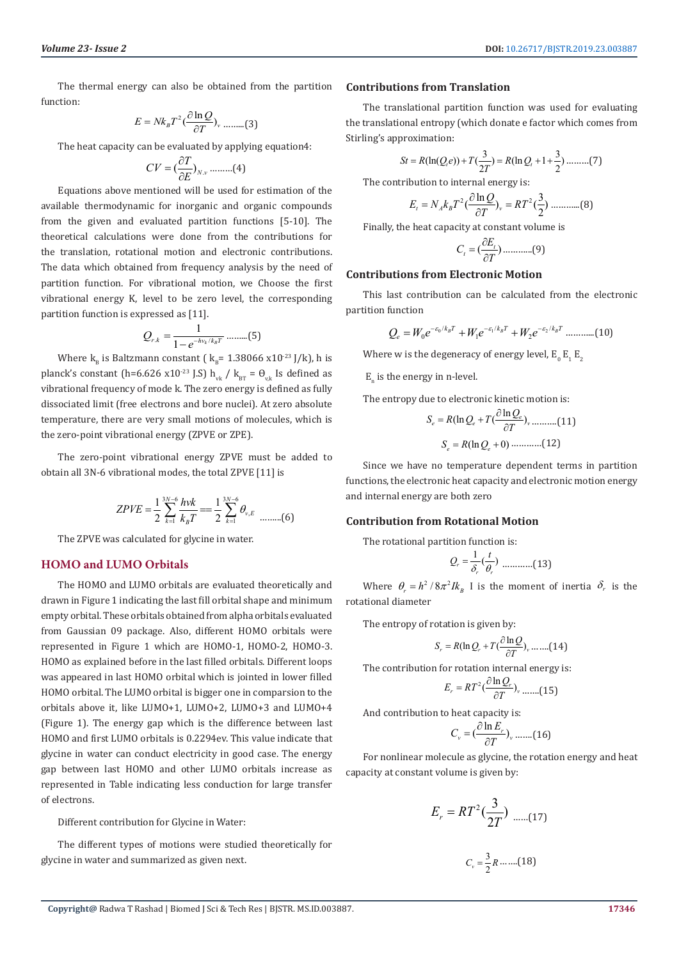The thermal energy can also be obtained from the partition function:

$$
E = Nk_B T^2 \left(\frac{\partial \ln Q}{\partial T}\right)_v \dots \dots \dots (3)
$$

The heat capacity can be evaluated by applying equation4:

$$
CV = \left(\frac{\partial T}{\partial E}\right)_{N,v} \dots \dots \dots (4)
$$

Equations above mentioned will be used for estimation of the available thermodynamic for inorganic and organic compounds from the given and evaluated partition functions [5-10]. The theoretical calculations were done from the contributions for the translation, rotational motion and electronic contributions. The data which obtained from frequency analysis by the need of partition function. For vibrational motion, we Choose the first vibrational energy K, level to be zero level, the corresponding partition function is expressed as [11].

$$
Q_{r.k} = \frac{1}{1 - e^{-h v_k / k_B T}} \dots \dots \dots (5)
$$

Where  $k_B$  is Baltzmann constant (  $k_B$ = 1.38066 x10<sup>-23</sup> J/k), h is planck's constant (h=6.626 x10<sup>-23</sup> J.S) h<sub>vk</sub> / k<sub>BT</sub> =  $\theta_{\text{v}k}$  Is defined as vibrational frequency of mode k. The zero energy is defined as fully dissociated limit (free electrons and bore nuclei). At zero absolute temperature, there are very small motions of molecules, which is the zero-point vibrational energy (ZPVE or ZPE).

The zero-point vibrational energy ZPVE must be added to obtain all 3N-6 vibrational modes, the total ZPVE [11] is

$$
ZPVE = \frac{1}{2} \sum_{k=1}^{3N-6} \frac{hvk}{k_B T} = \frac{1}{2} \sum_{k=1}^{3N-6} \theta_{v,E}
$$
 .........(6)

The ZPVE was calculated for glycine in water.

#### **HOMO and LUMO Orbitals**

The HOMO and LUMO orbitals are evaluated theoretically and drawn in Figure 1 indicating the last fill orbital shape and minimum empty orbital. These orbitals obtained from alpha orbitals evaluated from Gaussian 09 package. Also, different HOMO orbitals were represented in Figure 1 which are HOMO-1, HOMO-2, HOMO-3. HOMO as explained before in the last filled orbitals. Different loops was appeared in last HOMO orbital which is jointed in lower filled HOMO orbital. The LUMO orbital is bigger one in comparsion to the orbitals above it, like LUMO+1, LUMO+2, LUMO+3 and LUMO+4 (Figure 1). The energy gap which is the difference between last HOMO and first LUMO orbitals is 0.2294ev. This value indicate that glycine in water can conduct electricity in good case. The energy gap between last HOMO and other LUMO orbitals increase as represented in Table indicating less conduction for large transfer of electrons.

Different contribution for Glycine in Water:

The different types of motions were studied theoretically for glycine in water and summarized as given next.

#### **Contributions from Translation**

The translational partition function was used for evaluating the translational entropy (which donate e factor which comes from Stirling's approximation:

$$
St = R(\ln(Q_i e)) + T(\frac{3}{2T}) = R(\ln Q_i + 1 + \frac{3}{2}) \dots \dots \dots (7)
$$

The contribution to internal energy is:

$$
E_t = N_A k_B T^2 \left(\frac{\partial \ln Q}{\partial T}\right)_v = RT^2 \left(\frac{3}{2}\right) \dots \dots \dots \dots (8)
$$

Finally, the heat capacity at constant volume is

$$
C_t = \left(\frac{\partial E_t}{\partial T}\right) \dots \dots \dots \dots (9)
$$

#### **Contributions from Electronic Motion**

This last contribution can be calculated from the electronic partition function

$$
Q_e = W_0 e^{-\varepsilon_0/k_B T} + W_1 e^{-\varepsilon_1/k_B T} + W_2 e^{-\varepsilon_2/k_B T} \dots \dots \dots \dots (10)
$$

Where w is the degeneracy of energy level,  $E_0$   $E_1$   $E_2$ 

 $E_n$  is the energy in n-level.

The entropy due to electronic kinetic motion is:

$$
S_e = R(\ln Q_e + T(\frac{\partial \ln Q_e}{\partial T})_v \dots \dots \dots (11)
$$

$$
S_e = R(\ln Q_e + 0) \dots \dots \dots (12)
$$

Since we have no temperature dependent terms in partition functions, the electronic heat capacity and electronic motion energy and internal energy are both zero

#### **Contribution from Rotational Motion**

The rotational partition function is:

<sup>1</sup> ( ) *<sup>r</sup> r r <sup>t</sup> <sup>Q</sup>* <sup>δ</sup> <sup>θ</sup> <sup>=</sup> …………(13)

Where  $\theta_r = h^2 / 8\pi^2 I k_B$  I is the moment of inertia  $\delta_r$  is the rotational diameter

The entropy of rotation is given by:

$$
S_r = R(\ln Q_r + T(\frac{\partial \ln Q}{\partial T})_v \dots (14)
$$

The contribution for rotation internal energy is:

$$
E_r = RT^2 \left(\frac{\partial \ln Q_r}{\partial T}\right)_v \dots \dots (15)
$$

And contribution to heat capacity is:

$$
C_{v} = \left(\frac{\partial \ln E_{r}}{\partial T}\right)_{v} \dots \dots (16)
$$

For nonlinear molecule as glycine, the rotation energy and heat capacity at constant volume is given by:

$$
E_r = RT^2(\frac{3}{2T}) \dots (17)
$$

$$
C_v = \frac{3}{2}R \dots (18)
$$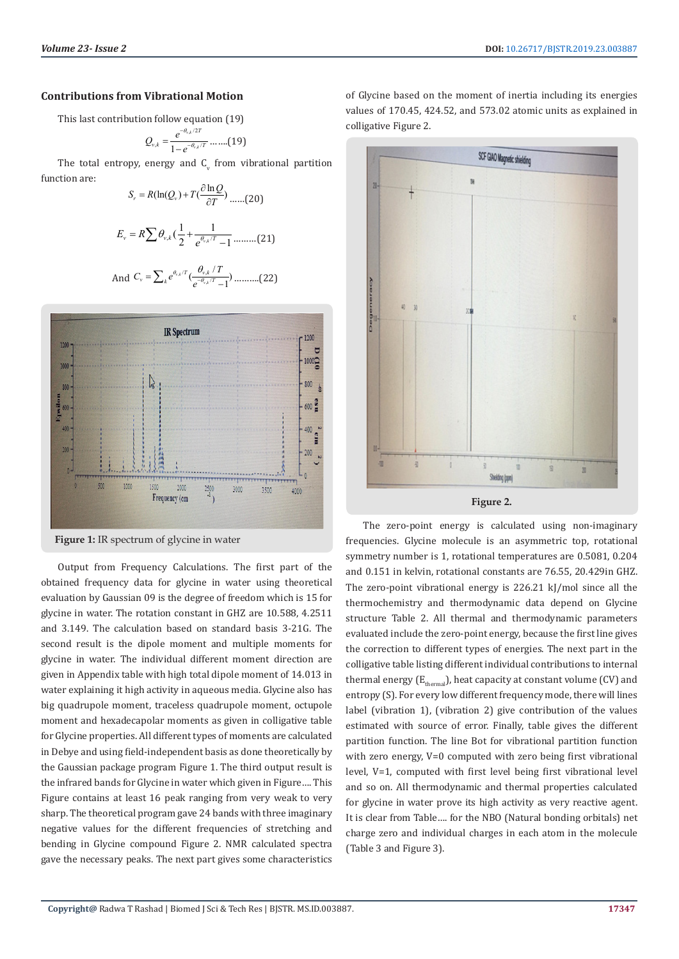### **Contributions from Vibrational Motion**

This last contribution follow equation (19)

$$
Q_{v,k}=\frac{e^{-\theta_{v,k}/2T}}{1-e^{-\theta_{v,k}/T}}\cdot\ldots\cdot(19)
$$

The total entropy, energy and  $C_{\rm v}$  from vibrational partition function are:

$$
S_r = R(\ln(Q_v) + T(\frac{\partial \ln Q}{\partial T}) \dots (20)
$$
  

$$
E_v = R \sum \theta_{v,k} (\frac{1}{2} + \frac{1}{e^{\theta_{v,k}/T} - 1} \dots (21))
$$

And 
$$
C_v = \sum_k e^{\theta_{r,k}/T} \left(\frac{\theta_{v,k}/T}{e^{-\theta_{v,k}/T}-1}\right)
$$
........(22)



**Figure 1:** IR spectrum of glycine in water

Output from Frequency Calculations. The first part of the obtained frequency data for glycine in water using theoretical evaluation by Gaussian 09 is the degree of freedom which is 15 for glycine in water. The rotation constant in GHZ are 10.588, 4.2511 and 3.149. The calculation based on standard basis 3-21G. The second result is the dipole moment and multiple moments for glycine in water. The individual different moment direction are given in Appendix table with high total dipole moment of 14.013 in water explaining it high activity in aqueous media. Glycine also has big quadrupole moment, traceless quadrupole moment, octupole moment and hexadecapolar moments as given in colligative table for Glycine properties. All different types of moments are calculated in Debye and using field-independent basis as done theoretically by the Gaussian package program Figure 1. The third output result is the infrared bands for Glycine in water which given in Figure…. This Figure contains at least 16 peak ranging from very weak to very sharp. The theoretical program gave 24 bands with three imaginary negative values for the different frequencies of stretching and bending in Glycine compound Figure 2. NMR calculated spectra gave the necessary peaks. The next part gives some characteristics

of Glycine based on the moment of inertia including its energies values of 170.45, 424.52, and 573.02 atomic units as explained in colligative Figure 2.



The zero-point energy is calculated using non-imaginary frequencies. Glycine molecule is an asymmetric top, rotational symmetry number is 1, rotational temperatures are 0.5081, 0.204 and 0.151 in kelvin, rotational constants are 76.55, 20.429in GHZ. The zero-point vibrational energy is 226.21 kJ/mol since all the thermochemistry and thermodynamic data depend on Glycine structure Table 2. All thermal and thermodynamic parameters evaluated include the zero-point energy, because the first line gives the correction to different types of energies. The next part in the colligative table listing different individual contributions to internal thermal energy  $(E_{\text{thomen}})$ , heat capacity at constant volume (CV) and entropy (S). For every low different frequency mode, there will lines label (vibration 1), (vibration 2) give contribution of the values estimated with source of error. Finally, table gives the different partition function. The line Bot for vibrational partition function with zero energy, V=0 computed with zero being first vibrational level, V=1, computed with first level being first vibrational level and so on. All thermodynamic and thermal properties calculated for glycine in water prove its high activity as very reactive agent. It is clear from Table…. for the NBO (Natural bonding orbitals) net charge zero and individual charges in each atom in the molecule (Table 3 and Figure 3).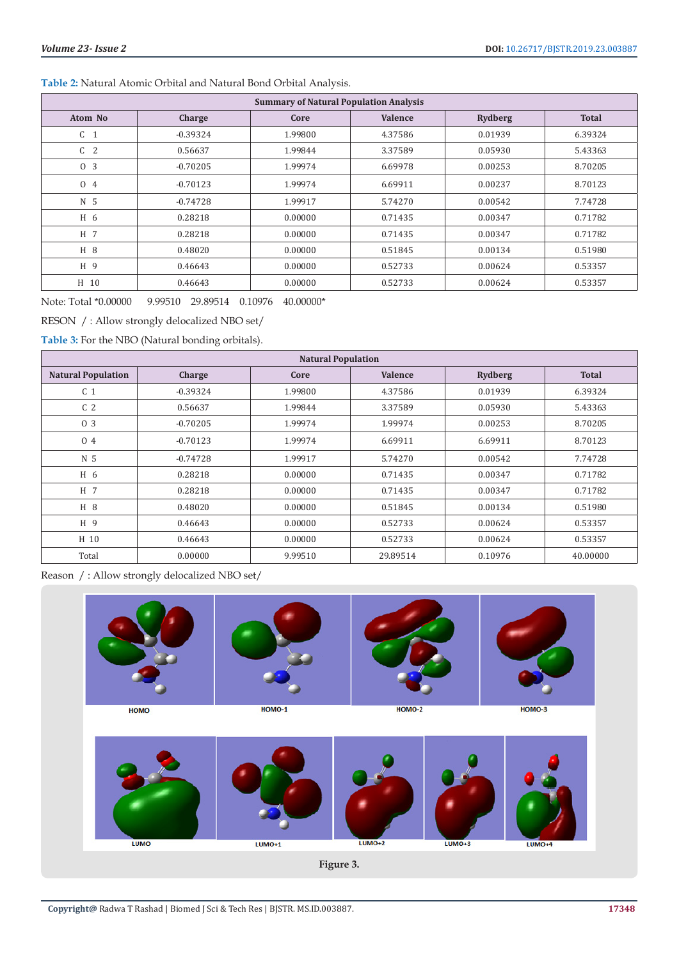# **Table 2:** Natural Atomic Orbital and Natural Bond Orbital Analysis.

| <b>Summary of Natural Population Analysis</b> |            |         |                |                |              |  |  |
|-----------------------------------------------|------------|---------|----------------|----------------|--------------|--|--|
| Atom No                                       | Charge     | Core    | <b>Valence</b> | <b>Rydberg</b> | <b>Total</b> |  |  |
| C <sub>1</sub>                                | $-0.39324$ | 1.99800 | 4.37586        | 0.01939        | 6.39324      |  |  |
| C <sub>2</sub>                                | 0.56637    | 1.99844 | 3.37589        | 0.05930        | 5.43363      |  |  |
| 0 <sub>3</sub>                                | $-0.70205$ | 1.99974 | 6.69978        | 0.00253        | 8.70205      |  |  |
| 0 4                                           | $-0.70123$ | 1.99974 | 6.69911        | 0.00237        | 8.70123      |  |  |
| N <sub>5</sub>                                | $-0.74728$ | 1.99917 | 5.74270        | 0.00542        | 7.74728      |  |  |
| H 6                                           | 0.28218    | 0.00000 | 0.71435        | 0.00347        | 0.71782      |  |  |
| H 7                                           | 0.28218    | 0.00000 | 0.71435        | 0.00347        | 0.71782      |  |  |
| H 8                                           | 0.48020    | 0.00000 | 0.51845        | 0.00134        | 0.51980      |  |  |
| H 9                                           | 0.46643    | 0.00000 | 0.52733        | 0.00624        | 0.53357      |  |  |
| H 10                                          | 0.46643    | 0.00000 | 0.52733        | 0.00624        | 0.53357      |  |  |

Note: Total \*0.00000 9.99510 29.89514 0.10976 40.00000\*

RESON / : Allow strongly delocalized NBO set/

**Table 3:** For the NBO (Natural bonding orbitals).

| <b>Natural Population</b> |            |         |                |                |              |  |  |
|---------------------------|------------|---------|----------------|----------------|--------------|--|--|
| <b>Natural Population</b> | Charge     | Core    | <b>Valence</b> | <b>Rydberg</b> | <b>Total</b> |  |  |
| C <sub>1</sub>            | $-0.39324$ | 1.99800 | 4.37586        | 0.01939        | 6.39324      |  |  |
| C <sub>2</sub>            | 0.56637    | 1.99844 | 3.37589        | 0.05930        | 5.43363      |  |  |
| 0 3                       | $-0.70205$ | 1.99974 | 1.99974        | 0.00253        | 8.70205      |  |  |
| 0 4                       | $-0.70123$ | 1.99974 | 6.69911        | 6.69911        | 8.70123      |  |  |
| N 5                       | $-0.74728$ | 1.99917 | 5.74270        | 0.00542        | 7.74728      |  |  |
| H 6                       | 0.28218    | 0.00000 | 0.71435        | 0.00347        | 0.71782      |  |  |
| H 7                       | 0.28218    | 0.00000 | 0.71435        | 0.00347        | 0.71782      |  |  |
| H 8                       | 0.48020    | 0.00000 | 0.51845        | 0.00134        | 0.51980      |  |  |
| H 9                       | 0.46643    | 0.00000 | 0.52733        | 0.00624        | 0.53357      |  |  |
| H 10                      | 0.46643    | 0.00000 | 0.52733        | 0.00624        | 0.53357      |  |  |
| Total                     | 0.00000    | 9.99510 | 29.89514       | 0.10976        | 40.00000     |  |  |

Reason / : Allow strongly delocalized NBO set/





**Figure 3.**